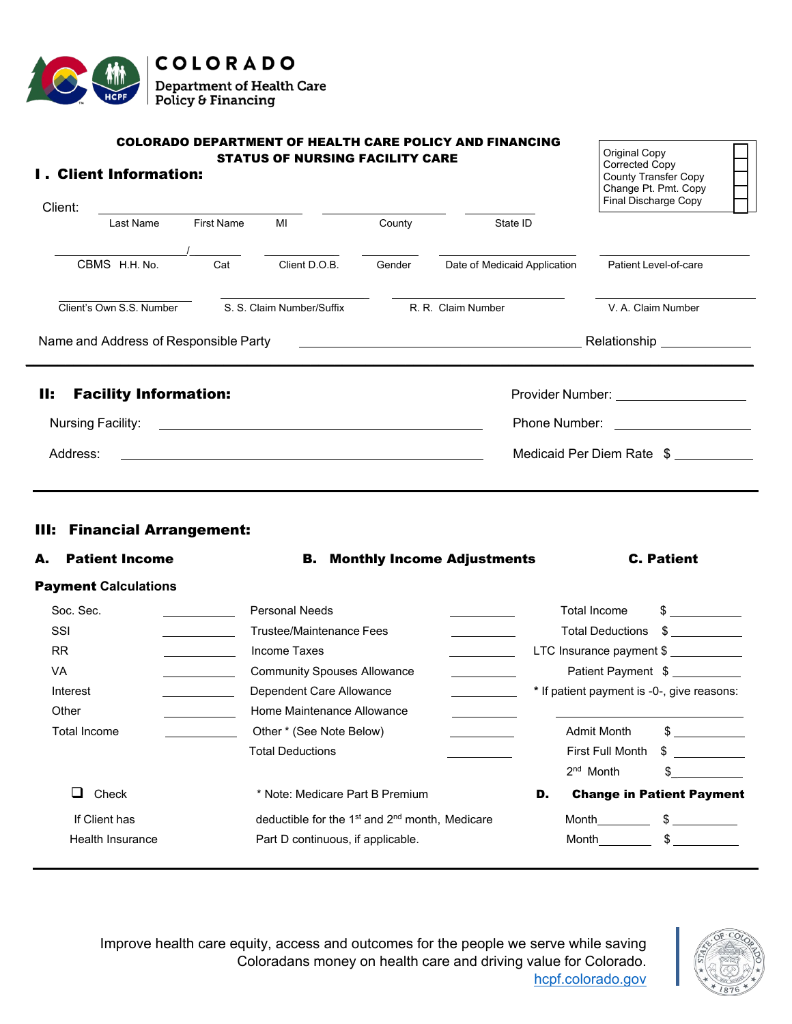

| Client:                                                                                                                                   | <b>I. Client Information:</b>                               |            | <b>COLORADO DEPARTMENT OF HEALTH CARE POLICY AND FINANCING</b><br><b>STATUS OF NURSING FACILITY CARE</b>    |        |                                                                                                                                                                                                                                                                                                                                                                                                                                  |                              | Original Copy<br>Corrected Copy<br>County Transfer Copy<br>Change Pt. Pmt. Copy<br>Final Discharge Copy |                                            |
|-------------------------------------------------------------------------------------------------------------------------------------------|-------------------------------------------------------------|------------|-------------------------------------------------------------------------------------------------------------|--------|----------------------------------------------------------------------------------------------------------------------------------------------------------------------------------------------------------------------------------------------------------------------------------------------------------------------------------------------------------------------------------------------------------------------------------|------------------------------|---------------------------------------------------------------------------------------------------------|--------------------------------------------|
|                                                                                                                                           | Last Name                                                   | First Name | MI                                                                                                          | County |                                                                                                                                                                                                                                                                                                                                                                                                                                  | State ID                     |                                                                                                         |                                            |
|                                                                                                                                           | CBMS H.H. No.                                               | Cat        | Client D.O.B.                                                                                               | Gender |                                                                                                                                                                                                                                                                                                                                                                                                                                  | Date of Medicaid Application | Patient Level-of-care                                                                                   |                                            |
|                                                                                                                                           | Client's Own S.S. Number                                    |            | S. S. Claim Number/Suffix                                                                                   |        | R. R. Claim Number                                                                                                                                                                                                                                                                                                                                                                                                               |                              | V. A. Claim Number                                                                                      |                                            |
|                                                                                                                                           | Name and Address of Responsible Party                       |            |                                                                                                             |        |                                                                                                                                                                                                                                                                                                                                                                                                                                  |                              |                                                                                                         |                                            |
| H:                                                                                                                                        | <b>Facility Information:</b>                                |            |                                                                                                             |        |                                                                                                                                                                                                                                                                                                                                                                                                                                  |                              |                                                                                                         | Provider Number: ____________________      |
| Nursing Facility:<br><u> Alexandria de la contrada de la contrada de la contrada de la contrada de la contrada de la contrada de la c</u> |                                                             |            |                                                                                                             |        |                                                                                                                                                                                                                                                                                                                                                                                                                                  |                              | Phone Number: <u>_________________</u>                                                                  |                                            |
| Address:<br><u> 1989 - Johann Stoff, amerikansk politiker (* 1908)</u>                                                                    |                                                             |            |                                                                                                             |        |                                                                                                                                                                                                                                                                                                                                                                                                                                  |                              |                                                                                                         | Medicaid Per Diem Rate \$                  |
|                                                                                                                                           |                                                             |            |                                                                                                             |        |                                                                                                                                                                                                                                                                                                                                                                                                                                  |                              |                                                                                                         |                                            |
|                                                                                                                                           |                                                             |            |                                                                                                             |        |                                                                                                                                                                                                                                                                                                                                                                                                                                  |                              |                                                                                                         |                                            |
| А.                                                                                                                                        | <b>III: Financial Arrangement:</b><br><b>Patient Income</b> |            |                                                                                                             |        | <b>B.</b> Monthly Income Adjustments                                                                                                                                                                                                                                                                                                                                                                                             |                              |                                                                                                         | <b>C. Patient</b>                          |
|                                                                                                                                           | <b>Payment Calculations</b>                                 |            |                                                                                                             |        |                                                                                                                                                                                                                                                                                                                                                                                                                                  |                              |                                                                                                         |                                            |
| Soc. Sec.                                                                                                                                 |                                                             |            | <b>Personal Needs</b>                                                                                       |        | $\overline{\phantom{a}}$ . The contract of $\overline{\phantom{a}}$ , $\overline{\phantom{a}}$ , $\overline{\phantom{a}}$ , $\overline{\phantom{a}}$ , $\overline{\phantom{a}}$ , $\overline{\phantom{a}}$ , $\overline{\phantom{a}}$ , $\overline{\phantom{a}}$ , $\overline{\phantom{a}}$ , $\overline{\phantom{a}}$ , $\overline{\phantom{a}}$ , $\overline{\phantom{a}}$ , $\overline{\phantom{a}}$ , $\overline{\phantom{a$ |                              | <b>Total Income</b>                                                                                     | $\frac{1}{2}$                              |
| SSI                                                                                                                                       |                                                             |            | <b>Trustee/Maintenance Fees</b>                                                                             |        | <b>Contract Contract Contract</b>                                                                                                                                                                                                                                                                                                                                                                                                |                              | <b>Total Deductions</b>                                                                                 | $\frac{1}{2}$                              |
| <b>RR</b>                                                                                                                                 |                                                             |            | Income Taxes                                                                                                |        | <u> 1990 - John Barnett, p</u>                                                                                                                                                                                                                                                                                                                                                                                                   |                              |                                                                                                         | LTC Insurance payment \$                   |
| VA                                                                                                                                        |                                                             |            | <b>Community Spouses Allowance</b>                                                                          |        | <b>Contract Contract Contract</b>                                                                                                                                                                                                                                                                                                                                                                                                |                              |                                                                                                         | Patient Payment \$                         |
| Interest                                                                                                                                  |                                                             |            | Dependent Care Allowance                                                                                    |        |                                                                                                                                                                                                                                                                                                                                                                                                                                  |                              |                                                                                                         | * If patient payment is -0-, give reasons: |
| Other                                                                                                                                     |                                                             |            | Home Maintenance Allowance                                                                                  |        |                                                                                                                                                                                                                                                                                                                                                                                                                                  |                              |                                                                                                         |                                            |
|                                                                                                                                           | <b>Total Income</b>                                         |            | Other * (See Note Below)                                                                                    |        |                                                                                                                                                                                                                                                                                                                                                                                                                                  |                              | <b>Admit Month</b>                                                                                      | $\frac{1}{2}$                              |
|                                                                                                                                           |                                                             |            | <b>Total Deductions</b>                                                                                     |        |                                                                                                                                                                                                                                                                                                                                                                                                                                  |                              | <b>First Full Month</b>                                                                                 | S                                          |
|                                                                                                                                           |                                                             |            |                                                                                                             |        |                                                                                                                                                                                                                                                                                                                                                                                                                                  |                              | 2 <sup>nd</sup> Month                                                                                   |                                            |
| u                                                                                                                                         | Check                                                       |            | * Note: Medicare Part B Premium                                                                             |        |                                                                                                                                                                                                                                                                                                                                                                                                                                  | D.                           |                                                                                                         | <b>Change in Patient Payment</b>           |
|                                                                                                                                           | If Client has<br>Health Insurance                           |            | deductible for the 1 <sup>st</sup> and 2 <sup>nd</sup> month, Medicare<br>Part D continuous, if applicable. |        |                                                                                                                                                                                                                                                                                                                                                                                                                                  |                              |                                                                                                         |                                            |